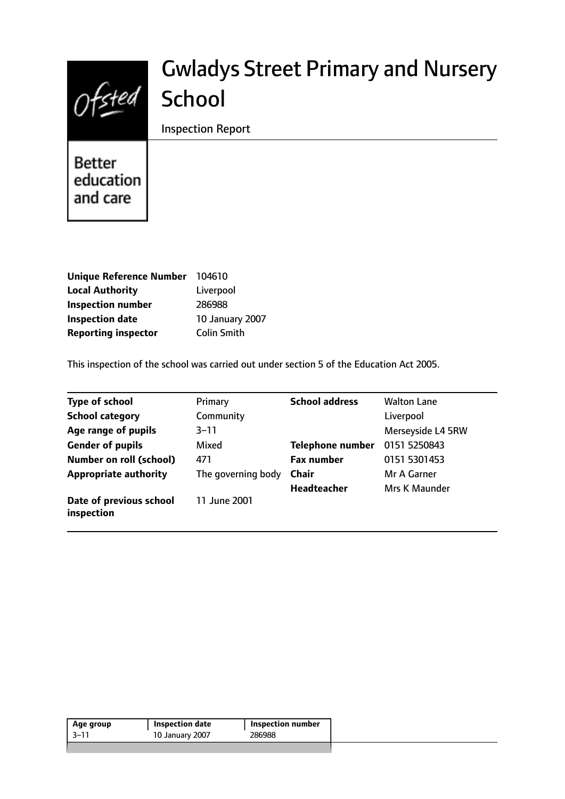

# Gwladys Street Primary and Nursery School

Inspection Report

Better education and care

| Unique Reference Number 104610 |                    |
|--------------------------------|--------------------|
| <b>Local Authority</b>         | Liverpool          |
| <b>Inspection number</b>       | 286988             |
| <b>Inspection date</b>         | 10 January 2007    |
| <b>Reporting inspector</b>     | <b>Colin Smith</b> |

This inspection of the school was carried out under section 5 of the Education Act 2005.

| <b>Type of school</b>                 | Primary            | <b>School address</b>   | <b>Walton Lane</b> |
|---------------------------------------|--------------------|-------------------------|--------------------|
| <b>School category</b>                | Community          |                         | Liverpool          |
| Age range of pupils                   | $3 - 11$           |                         | Merseyside L4 5RW  |
| <b>Gender of pupils</b>               | Mixed              | <b>Telephone number</b> | 0151 5250843       |
| <b>Number on roll (school)</b>        | 471                | <b>Fax number</b>       | 0151 5301453       |
| <b>Appropriate authority</b>          | The governing body | <b>Chair</b>            | Mr A Garner        |
|                                       |                    | <b>Headteacher</b>      | Mrs K Maunder      |
| Date of previous school<br>inspection | 11 June 2001       |                         |                    |

| -3–11 | 10 January 2007 | 286988 |
|-------|-----------------|--------|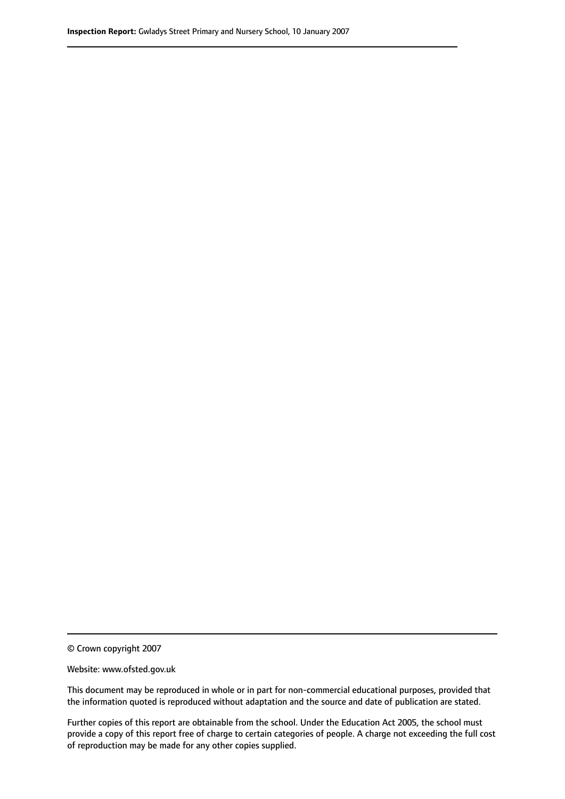© Crown copyright 2007

Website: www.ofsted.gov.uk

This document may be reproduced in whole or in part for non-commercial educational purposes, provided that the information quoted is reproduced without adaptation and the source and date of publication are stated.

Further copies of this report are obtainable from the school. Under the Education Act 2005, the school must provide a copy of this report free of charge to certain categories of people. A charge not exceeding the full cost of reproduction may be made for any other copies supplied.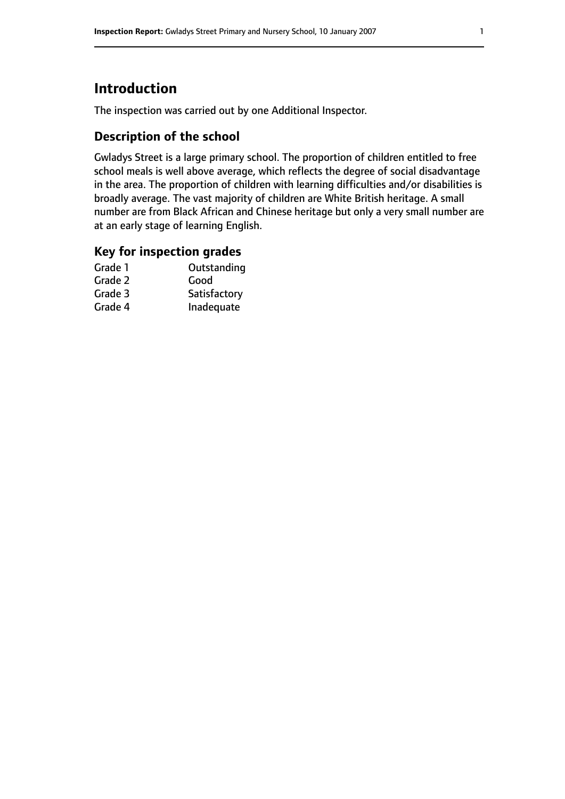# **Introduction**

The inspection was carried out by one Additional Inspector.

## **Description of the school**

Gwladys Street is a large primary school. The proportion of children entitled to free school meals is well above average, which reflects the degree of social disadvantage in the area. The proportion of children with learning difficulties and/or disabilities is broadly average. The vast majority of children are White British heritage. A small number are from Black African and Chinese heritage but only a very small number are at an early stage of learning English.

#### **Key for inspection grades**

| Outstanding  |
|--------------|
| Good         |
| Satisfactory |
| Inadequate   |
|              |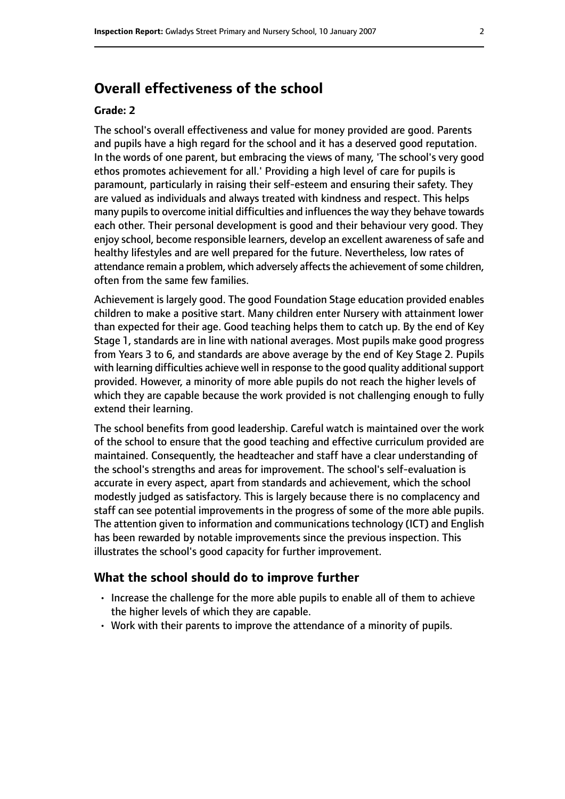# **Overall effectiveness of the school**

#### **Grade: 2**

The school's overall effectiveness and value for money provided are good. Parents and pupils have a high regard for the school and it has a deserved good reputation. In the words of one parent, but embracing the views of many, 'The school's very good ethos promotes achievement for all.' Providing a high level of care for pupils is paramount, particularly in raising their self-esteem and ensuring their safety. They are valued as individuals and always treated with kindness and respect. This helps many pupils to overcome initial difficulties and influences the way they behave towards each other. Their personal development is good and their behaviour very good. They enjoy school, become responsible learners, develop an excellent awareness ofsafe and healthy lifestyles and are well prepared for the future. Nevertheless, low rates of attendance remain a problem, which adversely affects the achievement of some children, often from the same few families.

Achievement is largely good. The good Foundation Stage education provided enables children to make a positive start. Many children enter Nursery with attainment lower than expected for their age. Good teaching helps them to catch up. By the end of Key Stage 1, standards are in line with national averages. Most pupils make good progress from Years 3 to 6, and standards are above average by the end of Key Stage 2. Pupils with learning difficulties achieve well in response to the good quality additional support provided. However, a minority of more able pupils do not reach the higher levels of which they are capable because the work provided is not challenging enough to fully extend their learning.

The school benefits from good leadership. Careful watch is maintained over the work of the school to ensure that the good teaching and effective curriculum provided are maintained. Consequently, the headteacher and staff have a clear understanding of the school's strengths and areas for improvement. The school's self-evaluation is accurate in every aspect, apart from standards and achievement, which the school modestly judged as satisfactory. This is largely because there is no complacency and staff can see potential improvements in the progress of some of the more able pupils. The attention given to information and communications technology (ICT) and English has been rewarded by notable improvements since the previous inspection. This illustrates the school's good capacity for further improvement.

#### **What the school should do to improve further**

- Increase the challenge for the more able pupils to enable all of them to achieve the higher levels of which they are capable.
- Work with their parents to improve the attendance of a minority of pupils.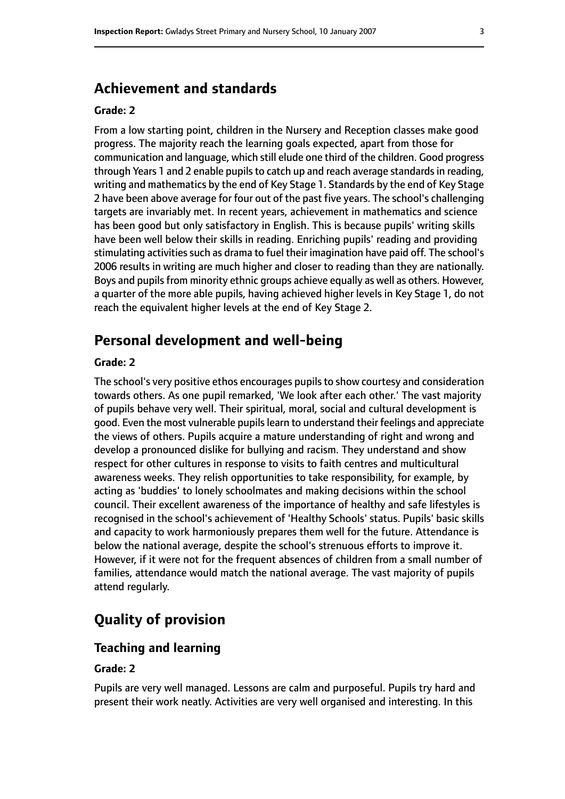## **Achievement and standards**

#### **Grade: 2**

From a low starting point, children in the Nursery and Reception classes make good progress. The majority reach the learning goals expected, apart from those for communication and language, which still elude one third of the children. Good progress through Years 1 and 2 enable pupils to catch up and reach average standards in reading, writing and mathematics by the end of Key Stage 1. Standards by the end of Key Stage 2 have been above average for four out of the past five years. The school's challenging targets are invariably met. In recent years, achievement in mathematics and science has been good but only satisfactory in English. This is because pupils' writing skills have been well below their skills in reading. Enriching pupils' reading and providing stimulating activities such as drama to fuel their imagination have paid off. The school's 2006 results in writing are much higher and closer to reading than they are nationally. Boys and pupils from minority ethnic groups achieve equally as well as others. However, a quarter of the more able pupils, having achieved higher levels in Key Stage 1, do not reach the equivalent higher levels at the end of Key Stage 2.

# **Personal development and well-being**

#### **Grade: 2**

The school's very positive ethos encourages pupils to show courtesy and consideration towards others. As one pupil remarked, 'We look after each other.' The vast majority of pupils behave very well. Their spiritual, moral, social and cultural development is good. Even the most vulnerable pupils learn to understand their feelings and appreciate the views of others. Pupils acquire a mature understanding of right and wrong and develop a pronounced dislike for bullying and racism. They understand and show respect for other cultures in response to visits to faith centres and multicultural awareness weeks. They relish opportunities to take responsibility, for example, by acting as 'buddies' to lonely schoolmates and making decisions within the school council. Their excellent awareness of the importance of healthy and safe lifestyles is recognised in the school's achievement of 'Healthy Schools' status. Pupils' basic skills and capacity to work harmoniously prepares them well for the future. Attendance is below the national average, despite the school's strenuous efforts to improve it. However, if it were not for the frequent absences of children from a small number of families, attendance would match the national average. The vast majority of pupils attend regularly.

# **Quality of provision**

#### **Teaching and learning**

#### **Grade: 2**

Pupils are very well managed. Lessons are calm and purposeful. Pupils try hard and present their work neatly. Activities are very well organised and interesting. In this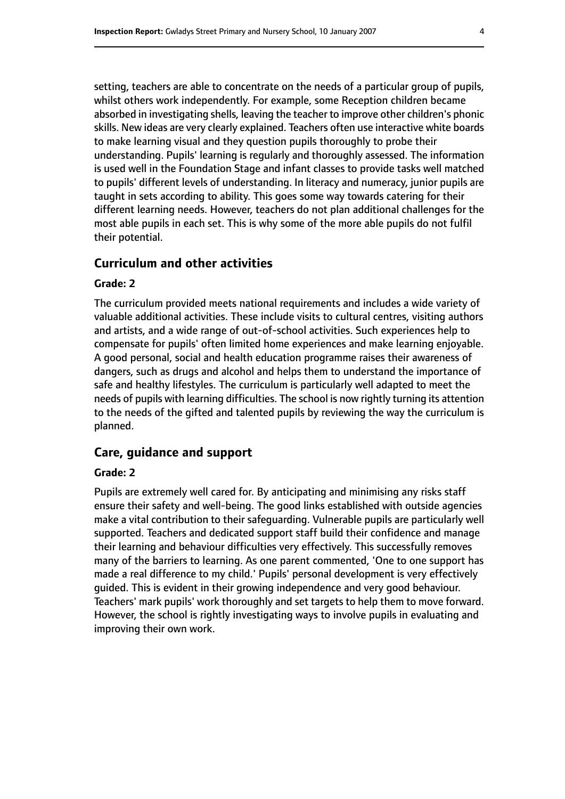setting, teachers are able to concentrate on the needs of a particular group of pupils, whilst others work independently. For example, some Reception children became absorbed in investigating shells, leaving the teacher to improve other children's phonic skills. New ideas are very clearly explained. Teachers often use interactive white boards to make learning visual and they question pupils thoroughly to probe their understanding. Pupils' learning is regularly and thoroughly assessed. The information is used well in the Foundation Stage and infant classes to provide tasks well matched to pupils' different levels of understanding. In literacy and numeracy, junior pupils are taught in sets according to ability. This goes some way towards catering for their different learning needs. However, teachers do not plan additional challenges for the most able pupils in each set. This is why some of the more able pupils do not fulfil their potential.

#### **Curriculum and other activities**

#### **Grade: 2**

The curriculum provided meets national requirements and includes a wide variety of valuable additional activities. These include visits to cultural centres, visiting authors and artists, and a wide range of out-of-school activities. Such experiences help to compensate for pupils' often limited home experiences and make learning enjoyable. A good personal, social and health education programme raises their awareness of dangers, such as drugs and alcohol and helps them to understand the importance of safe and healthy lifestyles. The curriculum is particularly well adapted to meet the needs of pupils with learning difficulties. The school is now rightly turning its attention to the needs of the gifted and talented pupils by reviewing the way the curriculum is planned.

#### **Care, guidance and support**

#### **Grade: 2**

Pupils are extremely well cared for. By anticipating and minimising any risks staff ensure their safety and well-being. The good links established with outside agencies make a vital contribution to their safeguarding. Vulnerable pupils are particularly well supported. Teachers and dedicated support staff build their confidence and manage their learning and behaviour difficulties very effectively. This successfully removes many of the barriers to learning. As one parent commented, 'One to one support has made a real difference to my child.' Pupils' personal development is very effectively guided. This is evident in their growing independence and very good behaviour. Teachers' mark pupils' work thoroughly and set targets to help them to move forward. However, the school is rightly investigating ways to involve pupils in evaluating and improving their own work.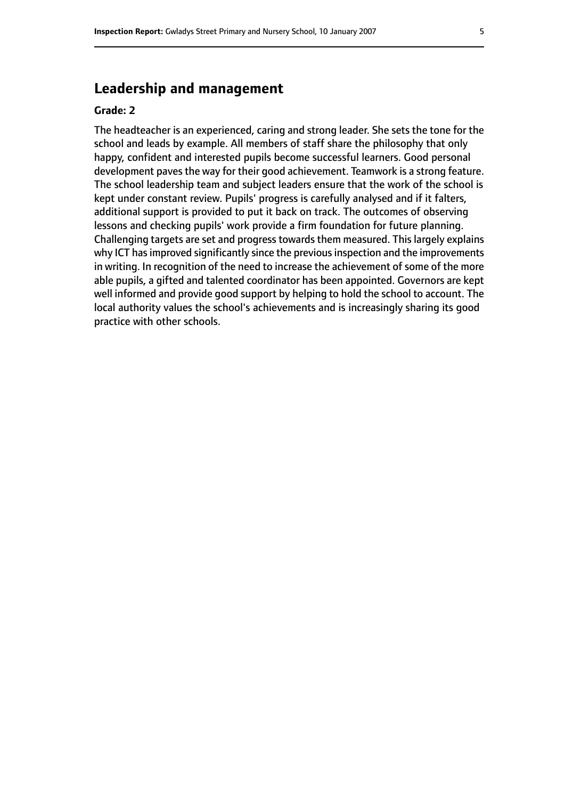# **Leadership and management**

#### **Grade: 2**

The headteacher is an experienced, caring and strong leader. She sets the tone for the school and leads by example. All members of staff share the philosophy that only happy, confident and interested pupils become successful learners. Good personal development paves the way for their good achievement. Teamwork is a strong feature. The school leadership team and subject leaders ensure that the work of the school is kept under constant review. Pupils' progress is carefully analysed and if it falters, additional support is provided to put it back on track. The outcomes of observing lessons and checking pupils' work provide a firm foundation for future planning. Challenging targets are set and progress towards them measured. This largely explains why ICT has improved significantly since the previous inspection and the improvements in writing. In recognition of the need to increase the achievement of some of the more able pupils, a gifted and talented coordinator has been appointed. Governors are kept well informed and provide good support by helping to hold the school to account. The local authority values the school's achievements and is increasingly sharing its good practice with other schools.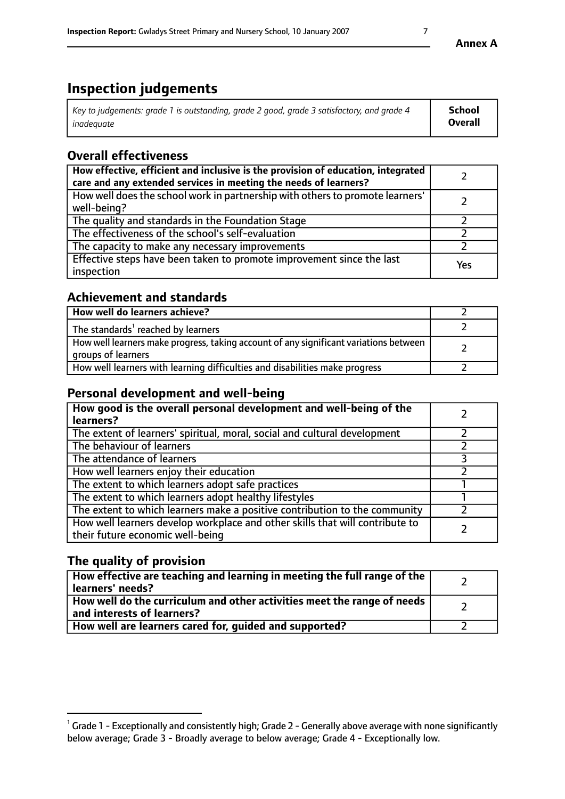# **Inspection judgements**

| Key to judgements: grade 1 is outstanding, grade 2 good, grade 3 satisfactory, and grade 4 | <b>School</b>  |
|--------------------------------------------------------------------------------------------|----------------|
| inadequate                                                                                 | <b>Overall</b> |

# **Overall effectiveness**

| How effective, efficient and inclusive is the provision of education, integrated<br>care and any extended services in meeting the needs of learners? |     |
|------------------------------------------------------------------------------------------------------------------------------------------------------|-----|
| How well does the school work in partnership with others to promote learners'<br>well-being?                                                         |     |
| The quality and standards in the Foundation Stage                                                                                                    |     |
| The effectiveness of the school's self-evaluation                                                                                                    |     |
| The capacity to make any necessary improvements                                                                                                      |     |
| Effective steps have been taken to promote improvement since the last<br>inspection                                                                  | Yes |

## **Achievement and standards**

| How well do learners achieve?                                                                               |  |
|-------------------------------------------------------------------------------------------------------------|--|
| The standards <sup>1</sup> reached by learners                                                              |  |
| How well learners make progress, taking account of any significant variations between<br>groups of learners |  |
| How well learners with learning difficulties and disabilities make progress                                 |  |

## **Personal development and well-being**

| How good is the overall personal development and well-being of the<br>learners?                                  |  |
|------------------------------------------------------------------------------------------------------------------|--|
| The extent of learners' spiritual, moral, social and cultural development                                        |  |
| The behaviour of learners                                                                                        |  |
| The attendance of learners                                                                                       |  |
| How well learners enjoy their education                                                                          |  |
| The extent to which learners adopt safe practices                                                                |  |
| The extent to which learners adopt healthy lifestyles                                                            |  |
| The extent to which learners make a positive contribution to the community                                       |  |
| How well learners develop workplace and other skills that will contribute to<br>their future economic well-being |  |

## **The quality of provision**

| How effective are teaching and learning in meeting the full range of the<br>learners' needs?          |  |
|-------------------------------------------------------------------------------------------------------|--|
| How well do the curriculum and other activities meet the range of needs<br>and interests of learners? |  |
| How well are learners cared for, guided and supported?                                                |  |

 $^1$  Grade 1 - Exceptionally and consistently high; Grade 2 - Generally above average with none significantly below average; Grade 3 - Broadly average to below average; Grade 4 - Exceptionally low.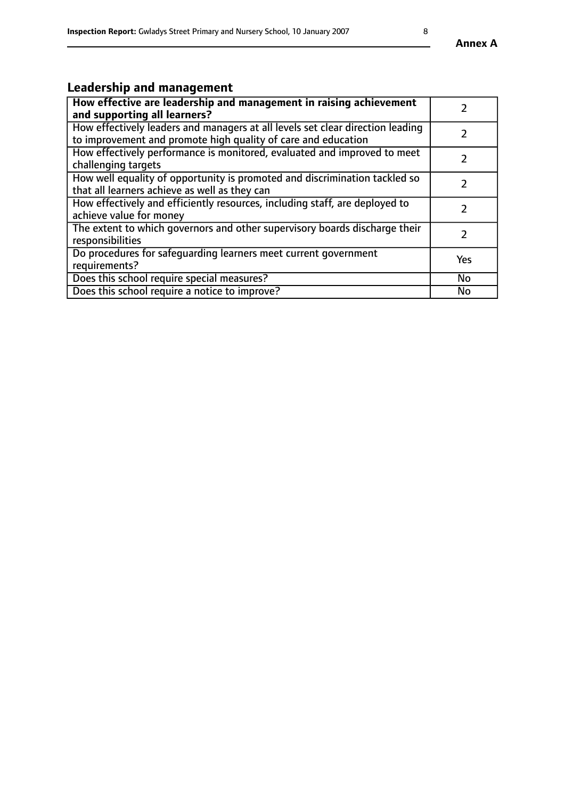# **Leadership and management**

| How effective are leadership and management in raising achievement<br>and supporting all learners?                                              |            |
|-------------------------------------------------------------------------------------------------------------------------------------------------|------------|
| How effectively leaders and managers at all levels set clear direction leading<br>to improvement and promote high quality of care and education |            |
| How effectively performance is monitored, evaluated and improved to meet<br>challenging targets                                                 |            |
| How well equality of opportunity is promoted and discrimination tackled so<br>that all learners achieve as well as they can                     |            |
| How effectively and efficiently resources, including staff, are deployed to<br>achieve value for money                                          |            |
| The extent to which governors and other supervisory boards discharge their<br>responsibilities                                                  |            |
| Do procedures for safequarding learners meet current government<br>requirements?                                                                | <b>Yes</b> |
| Does this school require special measures?                                                                                                      | No         |
| Does this school require a notice to improve?                                                                                                   | <b>No</b>  |